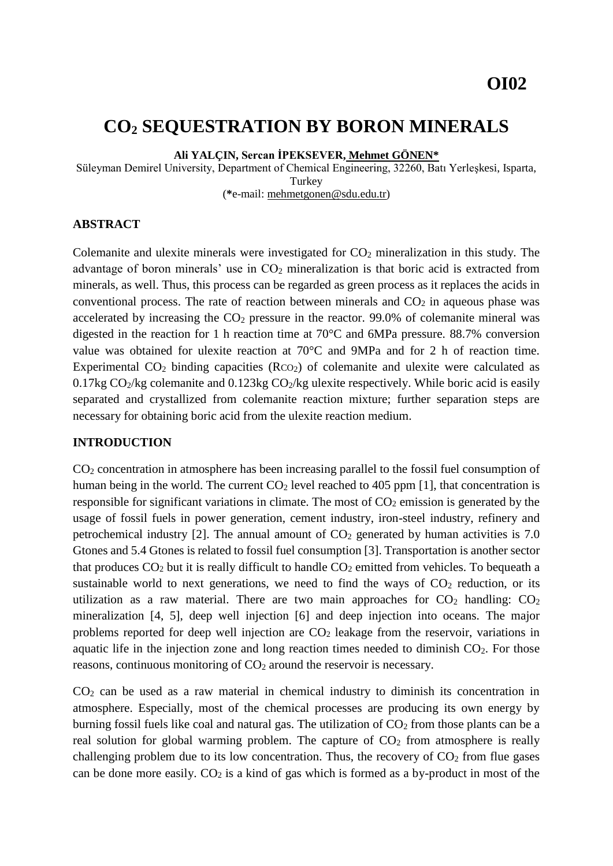# **CO<sup>2</sup> SEQUESTRATION BY BORON MINERALS**

**Ali YALÇIN, Sercan İPEKSEVER, Mehmet GÖNEN\***

Süleyman Demirel University, Department of Chemical Engineering, 32260, Batı Yerleşkesi, Isparta, Turkey (**\***e-mail: mehmetgonen@sdu.edu.tr)

#### **ABSTRACT**

Colemanite and ulexite minerals were investigated for CO<sup>2</sup> mineralization in this study. The advantage of boron minerals' use in CO<sub>2</sub> mineralization is that boric acid is extracted from minerals, as well. Thus, this process can be regarded as green process as it replaces the acids in conventional process. The rate of reaction between minerals and  $CO<sub>2</sub>$  in aqueous phase was accelerated by increasing the  $CO<sub>2</sub>$  pressure in the reactor. 99.0% of colemanite mineral was digested in the reaction for 1 h reaction time at 70°C and 6MPa pressure. 88.7% conversion value was obtained for ulexite reaction at 70°C and 9MPa and for 2 h of reaction time. Experimental  $CO<sub>2</sub>$  binding capacities (RcO<sub>2</sub>) of colemanite and ulexite were calculated as 0.17kg  $CO_2$ /kg colemanite and 0.123kg  $CO_2$ /kg ulexite respectively. While boric acid is easily separated and crystallized from colemanite reaction mixture; further separation steps are necessary for obtaining boric acid from the ulexite reaction medium.

#### **INTRODUCTION**

CO<sup>2</sup> concentration in atmosphere has been increasing parallel to the fossil fuel consumption of human being in the world. The current  $CO<sub>2</sub>$  level reached to 405 ppm [1], that concentration is responsible for significant variations in climate. The most of  $CO<sub>2</sub>$  emission is generated by the usage of fossil fuels in power generation, cement industry, iron-steel industry, refinery and petrochemical industry [2]. The annual amount of  $CO<sub>2</sub>$  generated by human activities is 7.0 Gtones and 5.4 Gtones is related to fossil fuel consumption [3]. Transportation is another sector that produces  $CO<sub>2</sub>$  but it is really difficult to handle  $CO<sub>2</sub>$  emitted from vehicles. To bequeath a sustainable world to next generations, we need to find the ways of  $CO<sub>2</sub>$  reduction, or its utilization as a raw material. There are two main approaches for  $CO<sub>2</sub>$  handling:  $CO<sub>2</sub>$ mineralization [4, 5], deep well injection [6] and deep injection into oceans. The major problems reported for deep well injection are  $CO<sub>2</sub>$  leakage from the reservoir, variations in aquatic life in the injection zone and long reaction times needed to diminish CO2. For those reasons, continuous monitoring of  $CO<sub>2</sub>$  around the reservoir is necessary.

 $CO<sub>2</sub>$  can be used as a raw material in chemical industry to diminish its concentration in atmosphere. Especially, most of the chemical processes are producing its own energy by burning fossil fuels like coal and natural gas. The utilization of  $CO<sub>2</sub>$  from those plants can be a real solution for global warming problem. The capture of  $CO<sub>2</sub>$  from atmosphere is really challenging problem due to its low concentration. Thus, the recovery of  $CO<sub>2</sub>$  from flue gases can be done more easily.  $CO<sub>2</sub>$  is a kind of gas which is formed as a by-product in most of the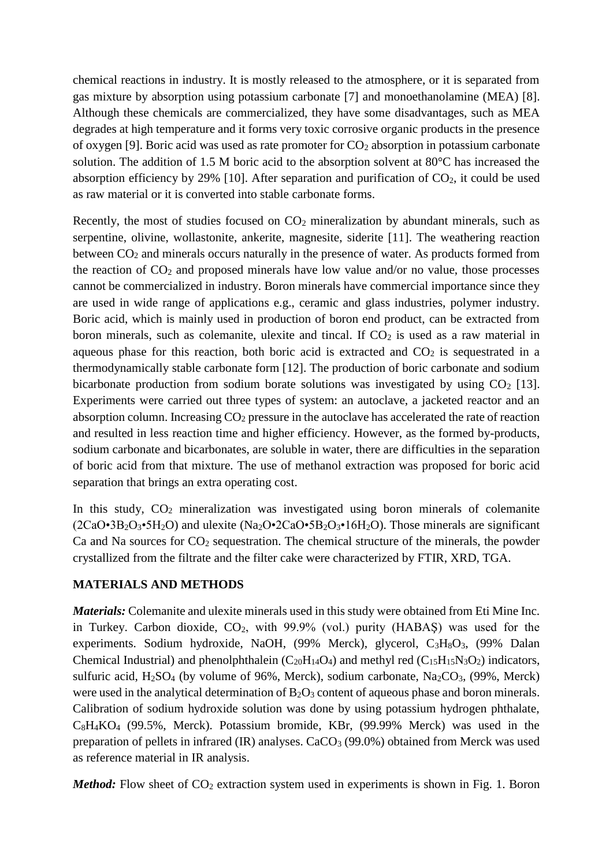chemical reactions in industry. It is mostly released to the atmosphere, or it is separated from gas mixture by absorption using potassium carbonate [7] and monoethanolamine (MEA) [8]. Although these chemicals are commercialized, they have some disadvantages, such as MEA degrades at high temperature and it forms very toxic corrosive organic products in the presence of oxygen [9]. Boric acid was used as rate promoter for  $CO<sub>2</sub>$  absorption in potassium carbonate solution. The addition of 1.5 M boric acid to the absorption solvent at 80°C has increased the absorption efficiency by 29% [10]. After separation and purification of  $CO<sub>2</sub>$ , it could be used as raw material or it is converted into stable carbonate forms.

Recently, the most of studies focused on  $CO<sub>2</sub>$  mineralization by abundant minerals, such as serpentine, olivine, wollastonite, ankerite, magnesite, siderite [11]. The weathering reaction between  $CO<sub>2</sub>$  and minerals occurs naturally in the presence of water. As products formed from the reaction of  $CO<sub>2</sub>$  and proposed minerals have low value and/or no value, those processes cannot be commercialized in industry. Boron minerals have commercial importance since they are used in wide range of applications e.g., ceramic and glass industries, polymer industry. Boric acid, which is mainly used in production of boron end product, can be extracted from boron minerals, such as colemanite, ulexite and tincal. If  $CO<sub>2</sub>$  is used as a raw material in aqueous phase for this reaction, both boric acid is extracted and  $CO<sub>2</sub>$  is sequestrated in a thermodynamically stable carbonate form [12]. The production of boric carbonate and sodium bicarbonate production from sodium borate solutions was investigated by using  $CO<sub>2</sub>$  [13]. Experiments were carried out three types of system: an autoclave, a jacketed reactor and an absorption column. Increasing CO<sub>2</sub> pressure in the autoclave has accelerated the rate of reaction and resulted in less reaction time and higher efficiency. However, as the formed by-products, sodium carbonate and bicarbonates, are soluble in water, there are difficulties in the separation of boric acid from that mixture. The use of methanol extraction was proposed for boric acid separation that brings an extra operating cost.

In this study,  $CO<sub>2</sub>$  mineralization was investigated using boron minerals of colemanite  $(2CaO·3B<sub>2</sub>O<sub>3</sub>·5H<sub>2</sub>O)$  and ulexite  $(Na<sub>2</sub>O·2CaO·5B<sub>2</sub>O<sub>3</sub>·16H<sub>2</sub>O)$ . Those minerals are significant  $Ca$  and Na sources for  $CO<sub>2</sub>$  sequestration. The chemical structure of the minerals, the powder crystallized from the filtrate and the filter cake were characterized by FTIR, XRD, TGA.

### **MATERIALS AND METHODS**

*Materials:* Colemanite and ulexite minerals used in this study were obtained from Eti Mine Inc. in Turkey. Carbon dioxide,  $CO<sub>2</sub>$ , with 99.9% (vol.) purity (HABAŞ) was used for the experiments. Sodium hydroxide, NaOH, (99% Merck), glycerol, C<sub>3</sub>H<sub>8</sub>O<sub>3</sub>, (99% Dalan Chemical Industrial) and phenolphthalein  $(C_{20}H_{14}O_4)$  and methyl red  $(C_{15}H_{15}N_3O_2)$  indicators, sulfuric acid,  $H_2SO_4$  (by volume of 96%, Merck), sodium carbonate,  $Na_2CO_3$ , (99%, Merck) were used in the analytical determination of  $B_2O_3$  content of aqueous phase and boron minerals. Calibration of sodium hydroxide solution was done by using potassium hydrogen phthalate, C8H4KO<sup>4</sup> (99.5%, Merck). Potassium bromide, KBr, (99.99% Merck) was used in the preparation of pellets in infrared (IR) analyses. CaCO<sub>3</sub> (99.0%) obtained from Merck was used as reference material in IR analysis.

*Method:* Flow sheet of CO<sub>2</sub> extraction system used in experiments is shown in Fig. 1. Boron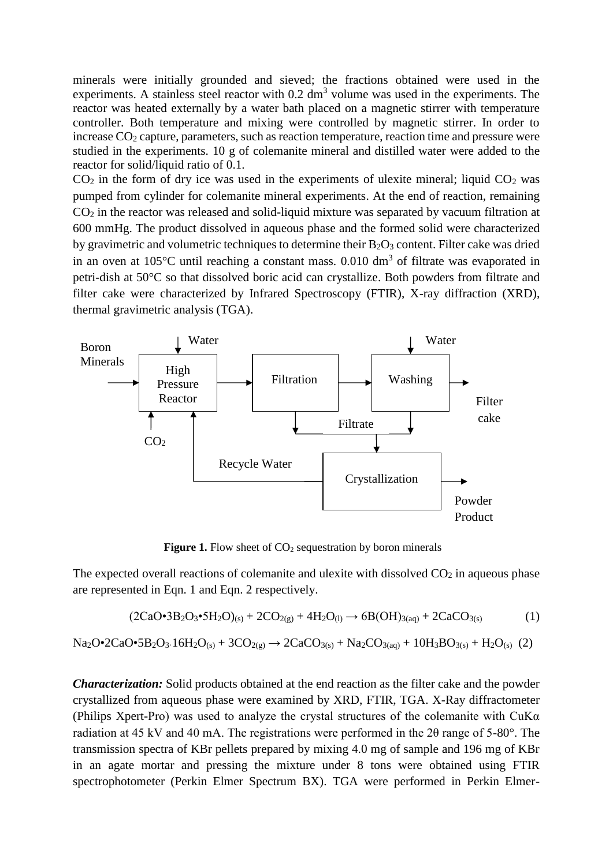minerals were initially grounded and sieved; the fractions obtained were used in the experiments. A stainless steel reactor with  $0.2 \text{ dm}^3$  volume was used in the experiments. The reactor was heated externally by a water bath placed on a magnetic stirrer with temperature controller. Both temperature and mixing were controlled by magnetic stirrer. In order to increase  $CO<sub>2</sub>$  capture, parameters, such as reaction temperature, reaction time and pressure were studied in the experiments. 10 g of colemanite mineral and distilled water were added to the reactor for solid/liquid ratio of 0.1.

 $CO<sub>2</sub>$  in the form of dry ice was used in the experiments of ulexite mineral; liquid  $CO<sub>2</sub>$  was pumped from cylinder for colemanite mineral experiments. At the end of reaction, remaining CO<sup>2</sup> in the reactor was released and solid-liquid mixture was separated by vacuum filtration at 600 mmHg. The product dissolved in aqueous phase and the formed solid were characterized by gravimetric and volumetric techniques to determine their  $B_2O_3$  content. Filter cake was dried in an oven at  $105^{\circ}$ C until reaching a constant mass. 0.010 dm<sup>3</sup> of filtrate was evaporated in petri-dish at 50°C so that dissolved boric acid can crystallize. Both powders from filtrate and filter cake were characterized by Infrared Spectroscopy (FTIR), X-ray diffraction (XRD), thermal gravimetric analysis (TGA).



**Figure 1.** Flow sheet of CO<sub>2</sub> sequestration by boron minerals

The expected overall reactions of colemanite and ulexite with dissolved  $CO<sub>2</sub>$  in aqueous phase are represented in Eqn. 1 and Eqn. 2 respectively.

$$
(2CaO•3B2O3•5H2O)(s) + 2CO2(g) + 4H2O(l) \to 6B(OH)3(aq) + 2CaCO3(s)
$$
 (1)

 $Na_2O\cdot 2CaO\cdot 5B_2O_3.16H_2O_{(s)} + 3CO_{2(g)} \rightarrow 2CaCO_{3(s)} + Na_2CO_{3(aq)} + 10H_3BO_{3(s)} + H_2O_{(s)}$  (2)

*Characterization:* Solid products obtained at the end reaction as the filter cake and the powder crystallized from aqueous phase were examined by XRD, FTIR, TGA. X-Ray diffractometer (Philips Xpert-Pro) was used to analyze the crystal structures of the colemanite with  $CuKa$ radiation at 45 kV and 40 mA. The registrations were performed in the 2θ range of 5-80°. The transmission spectra of KBr pellets prepared by mixing 4.0 mg of sample and 196 mg of KBr in an agate mortar and pressing the mixture under 8 tons were obtained using FTIR spectrophotometer (Perkin Elmer Spectrum BX). TGA were performed in Perkin Elmer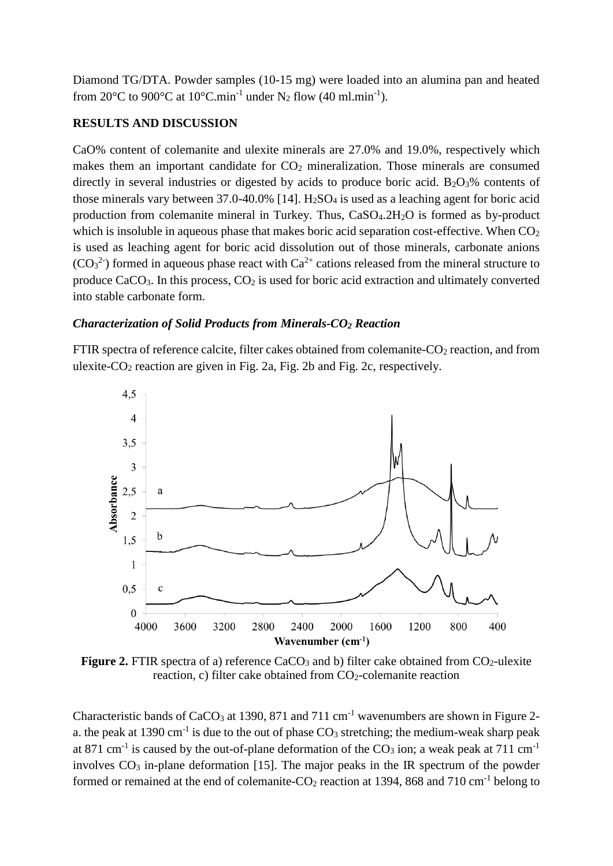Diamond TG/DTA. Powder samples (10-15 mg) were loaded into an alumina pan and heated from 20 $^{\circ}$ C to 900 $^{\circ}$ C at 10 $^{\circ}$ C.min<sup>-1</sup> under N<sub>2</sub> flow (40 ml.min<sup>-1</sup>).

## **RESULTS AND DISCUSSION**

CaO% content of colemanite and ulexite minerals are 27.0% and 19.0%, respectively which makes them an important candidate for  $CO<sub>2</sub>$  mineralization. Those minerals are consumed directly in several industries or digested by acids to produce boric acid.  $B_2O_3\%$  contents of those minerals vary between  $37.0 - 40.0\%$  [14]. H<sub>2</sub>SO<sub>4</sub> is used as a leaching agent for boric acid production from colemanite mineral in Turkey. Thus, CaSO<sub>4</sub>.2H<sub>2</sub>O is formed as by-product which is insoluble in aqueous phase that makes boric acid separation cost-effective. When  $CO<sub>2</sub>$ is used as leaching agent for boric acid dissolution out of those minerals, carbonate anions  $(CO<sub>3</sub><sup>2</sup>)$  formed in aqueous phase react with  $Ca<sup>2+</sup>$  cations released from the mineral structure to produce  $CaCO<sub>3</sub>$ . In this process,  $CO<sub>2</sub>$  is used for boric acid extraction and ultimately converted into stable carbonate form.

### *Characterization of Solid Products from Minerals-CO<sup>2</sup> Reaction*

FTIR spectra of reference calcite, filter cakes obtained from colemanite-CO<sub>2</sub> reaction, and from ulexite- $CO_2$  reaction are given in Fig. 2a, Fig. 2b and Fig. 2c, respectively.



**Figure 2.** FTIR spectra of a) reference  $CaCO<sub>3</sub>$  and b) filter cake obtained from  $CO<sub>2</sub>$ -ulexite reaction, c) filter cake obtained from CO<sub>2</sub>-colemanite reaction

Characteristic bands of  $CaCO<sub>3</sub>$  at 1390, 871 and 711 cm<sup>-1</sup> wavenumbers are shown in Figure 2a. the peak at 1390 cm<sup>-1</sup> is due to the out of phase  $CO_3$  stretching; the medium-weak sharp peak at 871 cm<sup>-1</sup> is caused by the out-of-plane deformation of the  $CO<sub>3</sub>$  ion; a weak peak at 711 cm<sup>-1</sup> involves  $CO<sub>3</sub>$  in-plane deformation [15]. The major peaks in the IR spectrum of the powder formed or remained at the end of colemanite- $CO_2$  reaction at 1394, 868 and 710 cm<sup>-1</sup> belong to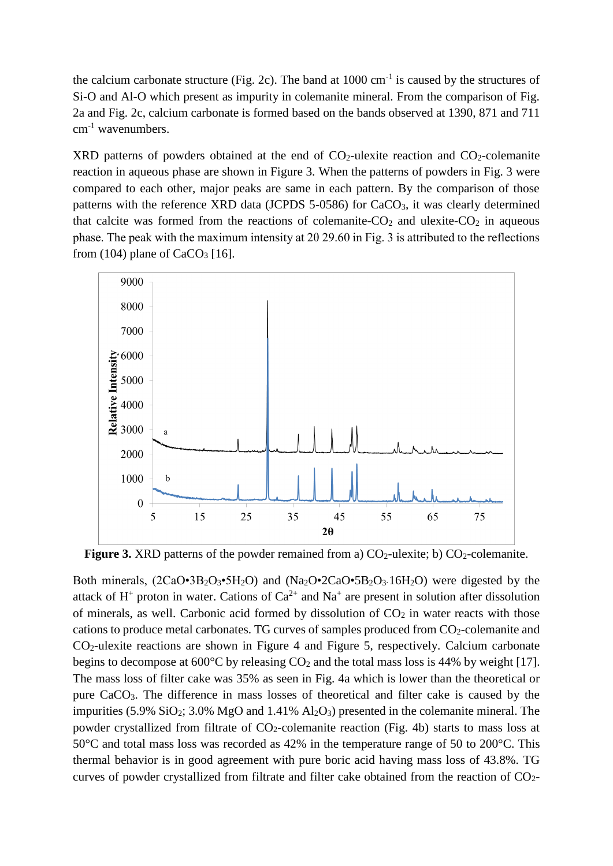the calcium carbonate structure (Fig. 2c). The band at  $1000 \text{ cm}^{-1}$  is caused by the structures of Si-O and Al-O which present as impurity in colemanite mineral. From the comparison of Fig. 2a and Fig. 2c, calcium carbonate is formed based on the bands observed at 1390, 871 and 711 cm<sup>-1</sup> wavenumbers.

XRD patterns of powders obtained at the end of  $CO<sub>2</sub>$ -ulexite reaction and  $CO<sub>2</sub>$ -colemanite reaction in aqueous phase are shown in Figure 3. When the patterns of powders in Fig. 3 were compared to each other, major peaks are same in each pattern. By the comparison of those patterns with the reference XRD data (JCPDS 5-0586) for CaCO3, it was clearly determined that calcite was formed from the reactions of colemanite- $CO<sub>2</sub>$  and ulexite- $CO<sub>2</sub>$  in aqueous phase. The peak with the maximum intensity at 2θ 29.60 in Fig. 3 is attributed to the reflections from (104) plane of  $CaCO<sub>3</sub>$  [16].



**Figure 3.** XRD patterns of the powder remained from a)  $CO<sub>2</sub>$ -ulexite; b)  $CO<sub>2</sub>$ -colemanite.

Both minerals,  $(2CaO·3B<sub>2</sub>O<sub>3</sub>·5H<sub>2</sub>O)$  and  $(Na<sub>2</sub>O·2CaO·5B<sub>2</sub>O<sub>3</sub>·16H<sub>2</sub>O)$  were digested by the attack of  $H^+$  proton in water. Cations of  $Ca^{2+}$  and  $Na^+$  are present in solution after dissolution of minerals, as well. Carbonic acid formed by dissolution of  $CO<sub>2</sub>$  in water reacts with those cations to produce metal carbonates. TG curves of samples produced from CO<sub>2</sub>-colemanite and CO2-ulexite reactions are shown in Figure 4 and Figure 5, respectively. Calcium carbonate begins to decompose at  $600^{\circ}$ C by releasing  $CO_2$  and the total mass loss is 44% by weight [17]. The mass loss of filter cake was 35% as seen in Fig. 4a which is lower than the theoretical or pure CaCO3. The difference in mass losses of theoretical and filter cake is caused by the impurities (5.9%  $SiO_2$ ; 3.0% MgO and 1.41%  $Al_2O_3$ ) presented in the colemanite mineral. The powder crystallized from filtrate of  $CO_2$ -colemanite reaction (Fig. 4b) starts to mass loss at 50°C and total mass loss was recorded as 42% in the temperature range of 50 to 200°C. This thermal behavior is in good agreement with pure boric acid having mass loss of 43.8%. TG curves of powder crystallized from filtrate and filter cake obtained from the reaction of CO2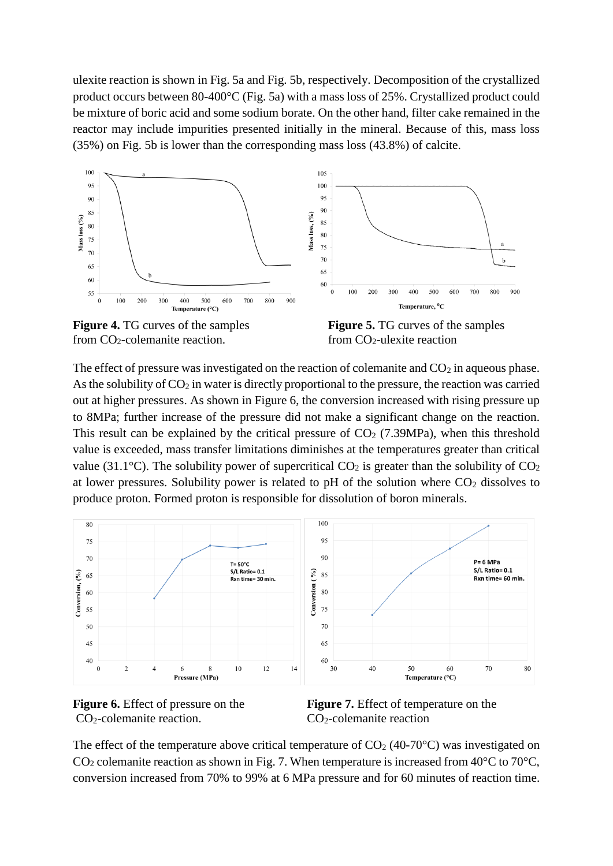ulexite reaction is shown in Fig. 5a and Fig. 5b, respectively. Decomposition of the crystallized product occurs between 80-400°C (Fig. 5a) with a mass loss of 25%. Crystallized product could be mixture of boric acid and some sodium borate. On the other hand, filter cake remained in the reactor may include impurities presented initially in the mineral. Because of this, mass loss (35%) on Fig. 5b is lower than the corresponding mass loss (43.8%) of calcite.



from  $CO_2$ -colemanite reaction. from  $CO_2$ -ulexite reaction

**Figure 4.** TG curves of the samples **Figure 5.** TG curves of the samples

The effect of pressure was investigated on the reaction of colemanite and  $CO<sub>2</sub>$  in aqueous phase. As the solubility of  $CO<sub>2</sub>$  in water is directly proportional to the pressure, the reaction was carried out at higher pressures. As shown in Figure 6, the conversion increased with rising pressure up to 8MPa; further increase of the pressure did not make a significant change on the reaction. This result can be explained by the critical pressure of  $CO<sub>2</sub>$  (7.39MPa), when this threshold value is exceeded, mass transfer limitations diminishes at the temperatures greater than critical value (31.1 $^{\circ}$ C). The solubility power of supercritical CO<sub>2</sub> is greater than the solubility of CO<sub>2</sub> at lower pressures. Solubility power is related to pH of the solution where  $CO<sub>2</sub>$  dissolves to produce proton. Formed proton is responsible for dissolution of boron minerals.





**Figure 6.** Effect of pressure on the **Figure 7.** Effect of temperature on the

The effect of the temperature above critical temperature of  $CO<sub>2</sub>$  (40-70°C) was investigated on  $CO<sub>2</sub>$  colemanite reaction as shown in Fig. 7. When temperature is increased from 40 $\degree$ C to 70 $\degree$ C, conversion increased from 70% to 99% at 6 MPa pressure and for 60 minutes of reaction time.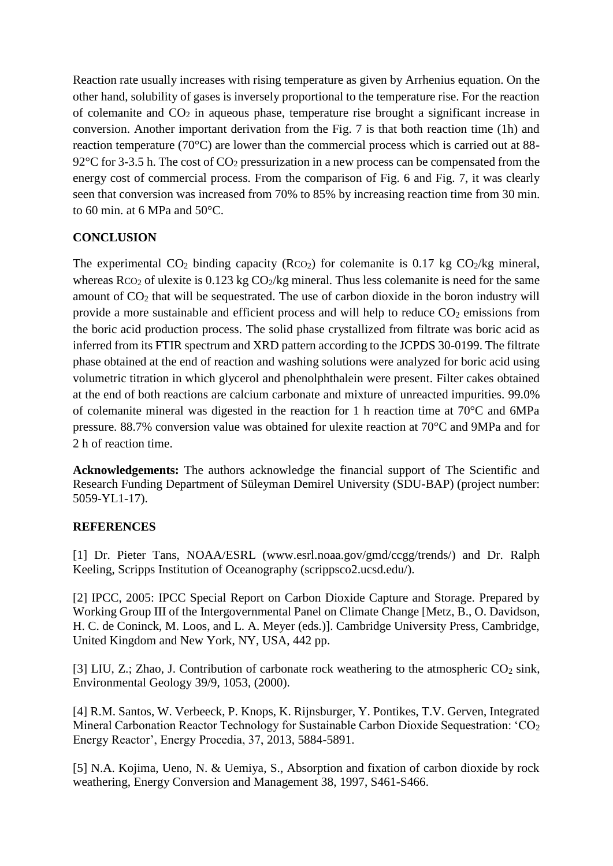Reaction rate usually increases with rising temperature as given by Arrhenius equation. On the other hand, solubility of gases is inversely proportional to the temperature rise. For the reaction of colemanite and  $CO<sub>2</sub>$  in aqueous phase, temperature rise brought a significant increase in conversion. Another important derivation from the Fig. 7 is that both reaction time (1h) and reaction temperature (70°C) are lower than the commercial process which is carried out at 88- 92 $\degree$ C for 3-3.5 h. The cost of CO<sub>2</sub> pressurization in a new process can be compensated from the energy cost of commercial process. From the comparison of Fig. 6 and Fig. 7, it was clearly seen that conversion was increased from 70% to 85% by increasing reaction time from 30 min. to 60 min. at 6 MPa and 50°C.

### **CONCLUSION**

The experimental  $CO_2$  binding capacity ( $RCO_2$ ) for colemanite is 0.17 kg  $CO_2/kg$  mineral, whereas  $RCO<sub>2</sub>$  of ulexite is 0.123 kg  $CO<sub>2</sub>/kg$  mineral. Thus less colemanite is need for the same amount of CO<sup>2</sup> that will be sequestrated. The use of carbon dioxide in the boron industry will provide a more sustainable and efficient process and will help to reduce  $CO<sub>2</sub>$  emissions from the boric acid production process. The solid phase crystallized from filtrate was boric acid as inferred from its FTIR spectrum and XRD pattern according to the JCPDS 30-0199. The filtrate phase obtained at the end of reaction and washing solutions were analyzed for boric acid using volumetric titration in which glycerol and phenolphthalein were present. Filter cakes obtained at the end of both reactions are calcium carbonate and mixture of unreacted impurities. 99.0% of colemanite mineral was digested in the reaction for 1 h reaction time at 70°C and 6MPa pressure. 88.7% conversion value was obtained for ulexite reaction at 70°C and 9MPa and for 2 h of reaction time.

**Acknowledgements:** The authors acknowledge the financial support of The Scientific and Research Funding Department of Süleyman Demirel University (SDU-BAP) (project number: 5059-YL1-17).

### **REFERENCES**

[1] Dr. Pieter Tans, NOAA/ESRL (www.esrl.noaa.gov/gmd/ccgg/trends/) and Dr. Ralph Keeling, Scripps Institution of Oceanography (scrippsco2.ucsd.edu/).

[2] IPCC, 2005: IPCC Special Report on Carbon Dioxide Capture and Storage. Prepared by Working Group III of the Intergovernmental Panel on Climate Change [Metz, B., O. Davidson, H. C. de Coninck, M. Loos, and L. A. Meyer (eds.)]. Cambridge University Press, Cambridge, United Kingdom and New York, NY, USA, 442 pp.

[3] LIU, Z.; Zhao, J. Contribution of carbonate rock weathering to the atmospheric  $CO<sub>2</sub>$  sink, Environmental Geology 39/9, 1053, (2000).

[4] R.M. Santos, W. Verbeeck, P. Knops, K. Rijnsburger, Y. Pontikes, T.V. Gerven, Integrated Mineral Carbonation Reactor Technology for Sustainable Carbon Dioxide Sequestration: 'CO<sub>2</sub> Energy Reactor', Energy Procedia, 37, 2013, 5884-5891.

[5] N.A. Kojima, Ueno, N. & Uemiya, S., Absorption and fixation of carbon dioxide by rock weathering, Energy Conversion and Management 38, 1997, S461-S466.